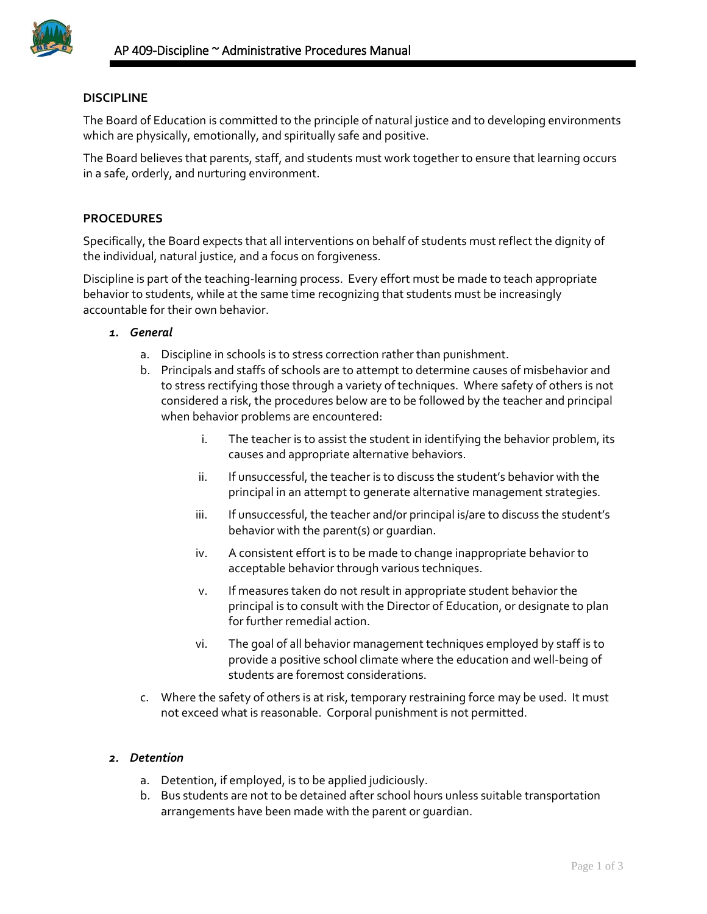

## **DISCIPLINE**

The Board of Education is committed to the principle of natural justice and to developing environments which are physically, emotionally, and spiritually safe and positive.

The Board believes that parents, staff, and students must work together to ensure that learning occurs in a safe, orderly, and nurturing environment.

## **PROCEDURES**

Specifically, the Board expects that all interventions on behalf of students must reflect the dignity of the individual, natural justice, and a focus on forgiveness.

Discipline is part of the teaching-learning process. Every effort must be made to teach appropriate behavior to students, while at the same time recognizing that students must be increasingly accountable for their own behavior.

- *1. General*
	- a. Discipline in schools is to stress correction rather than punishment.
	- b. Principals and staffs of schools are to attempt to determine causes of misbehavior and to stress rectifying those through a variety of techniques. Where safety of others is not considered a risk, the procedures below are to be followed by the teacher and principal when behavior problems are encountered:
		- i. The teacher is to assist the student in identifying the behavior problem, its causes and appropriate alternative behaviors.
		- ii. If unsuccessful, the teacher is to discuss the student's behavior with the principal in an attempt to generate alternative management strategies.
		- iii. If unsuccessful, the teacher and/or principal is/are to discuss the student's behavior with the parent(s) or guardian.
		- iv. A consistent effort is to be made to change inappropriate behavior to acceptable behavior through various techniques.
		- v. If measures taken do not result in appropriate student behavior the principal is to consult with the Director of Education, or designate to plan for further remedial action.
		- vi. The goal of all behavior management techniques employed by staff is to provide a positive school climate where the education and well-being of students are foremost considerations.
	- c. Where the safety of others is at risk, temporary restraining force may be used. It must not exceed what is reasonable. Corporal punishment is not permitted.

#### *2. Detention*

- a. Detention, if employed, is to be applied judiciously.
- b. Bus students are not to be detained after school hours unless suitable transportation arrangements have been made with the parent or guardian.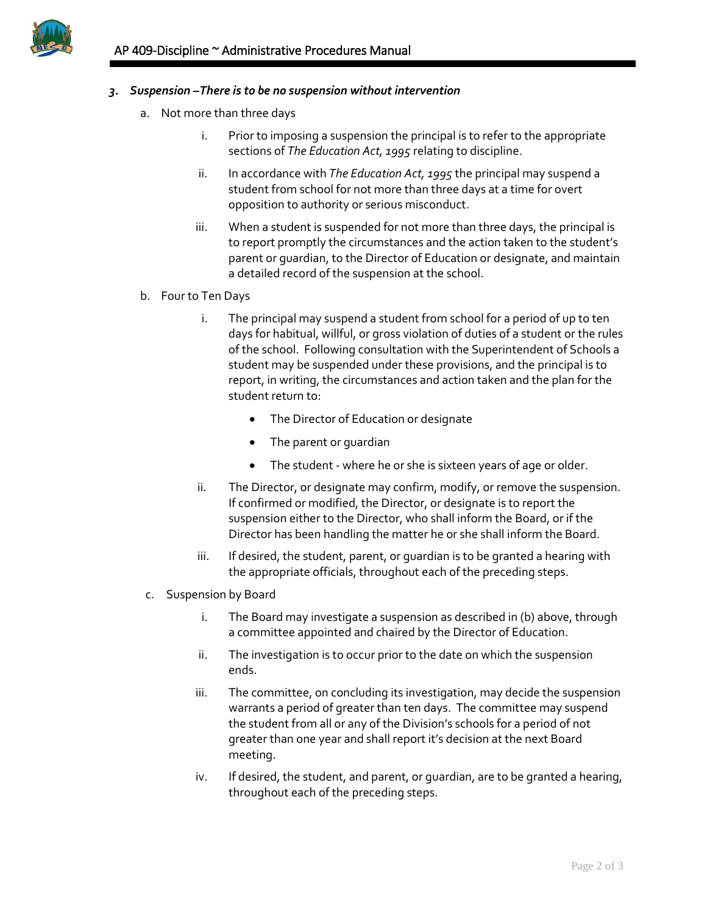

## *3. Suspension –There is to be no suspension without intervention*

- a. Not more than three days
	- i. Prior to imposing a suspension the principal is to refer to the appropriate sections of *The Education Act, 1995* relating to discipline.
	- ii. In accordance with *The Education Act, 1995* the principal may suspend a student from school for not more than three days at a time for overt opposition to authority or serious misconduct.
	- iii. When a student is suspended for not more than three days, the principal is to report promptly the circumstances and the action taken to the student's parent or guardian, to the Director of Education or designate, and maintain a detailed record of the suspension at the school.
- b. Four to Ten Days
	- i. The principal may suspend a student from school for a period of up to ten days for habitual, willful, or gross violation of duties of a student or the rules of the school. Following consultation with the Superintendent of Schools a student may be suspended under these provisions, and the principal is to report, in writing, the circumstances and action taken and the plan for the student return to:
		- The Director of Education or designate
		- The parent or guardian
		- The student where he or she is sixteen years of age or older.
	- ii. The Director, or designate may confirm, modify, or remove the suspension. If confirmed or modified, the Director, or designate is to report the suspension either to the Director, who shall inform the Board, or if the Director has been handling the matter he or she shall inform the Board.
	- iii. If desired, the student, parent, or guardian is to be granted a hearing with the appropriate officials, throughout each of the preceding steps.
- c. Suspension by Board
	- i. The Board may investigate a suspension as described in (b) above, through a committee appointed and chaired by the Director of Education.
	- ii. The investigation is to occur prior to the date on which the suspension ends.
	- iii. The committee, on concluding its investigation, may decide the suspension warrants a period of greater than ten days. The committee may suspend the student from all or any of the Division's schools for a period of not greater than one year and shall report it's decision at the next Board meeting.
	- iv. If desired, the student, and parent, or guardian, are to be granted a hearing, throughout each of the preceding steps.